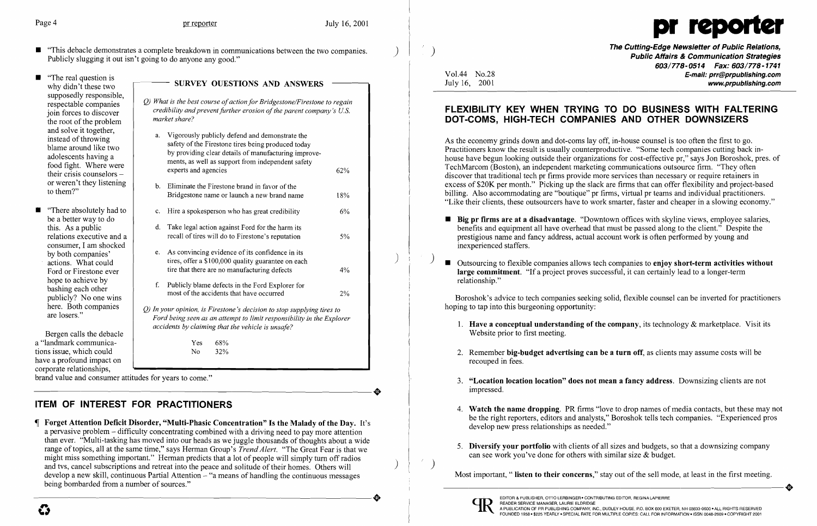- "This debacle demonstrates a complete breakdown in communications between the two companies.<br>Publicly slugging it out isn't going to do anyone any good."
- "The real question is<br>why didn't these two supposedly responsible, the root of the problem and solve it together,<br>instead of throwing their crisis counselors  $$ or weren't they listening
- be a better way to do this. As a public relations executive and a consumer, I am shocked actions. What could Ford or Firestone ever hope to achieve by here. Both companies<br>are losers."



- (b) What is the best course of action for Bridgestone/Firestone to regain respectable companies *credibility and prevent further erosion of the parent company's U.S.*  $\frac{1}{2}$  *market share?*
- a. Vigorously publicly defend and demonstrate the instead of throwing safety of the Firestone tires being produced today by providing clear details of manufacturing improveadolescents having a ments, as well as support from independent safety<br>food fight. Where were experts and agencies  $62\%$  b. Eliminate the Firestone brand in favor of the Bridgestone name or launch a new brand name 18% **••** "There absolutely had to  $\vert$  c. Hire a spokesperson who has great credibility 6% d. Take legal action against Ford for the harm its recall of tires will do to Firestone's reputation 5% e. As convincing evidence of its confidence in its tires, offer a \$100,000 quality guarantee on each tire that there are no manufacturing defects  $4%$ F. Publicly blame defects in the Ford Explorer for bashing each other most of the accidents that have occurred 2% Q) *In your opinion, is Firestone's decision to stop supplying tires to*  Ford being seen as an attempt to limit responsibility in the Explorer *accidents by claiming that the vehicle* is *unsafe?*

brand value and consumer attitudes for years to come." corporate relationships,<br>brand value and consumer attitudes for years to come."

The Cutting-Edge Newsletter of Public Relations, ) Public Affairs & Communication Strategies 603/778-0514 Fax: 603/778-1741 Vol.44 No.28 **E-mail: prr@prpublishing.com**<br>July 16, 2001 www.prpublishing.com

Bergen calls the debacle a "landmark communica-<br>
Yes 68% tions issue, which could  $\overline{N_0}$   $\overline{32\%}$ have a profound impact on corporate relationships,

## SURVEY OUESTIONS AND ANSWERS

**• Big pr firms are at a disadvantage.** "Downtown offices with skyline views, employee salaries, benefits and equipment all have overhead that must be passed along to the client." Despite the

 $\Box$  Outsourcing to flexible companies allows tech companies to enjoy short-term activities without

1. Have a conceptual understanding of the company, its technology  $\&$  marketplace. Visit its

2. Remember big-budget advertising can be a turn off, as clients may assume costs will be

# ITEM OF INTEREST FOR PRACTITIONERS

 Forget Attention Deficit Disorder, "Multi-Phasic Concentration" Is the Malady of the Day. It's a pervasive problem - difficulty concentrating combined with a driving need to pay more attention than ever. "Multi-tasking has moved into our heads as we juggle thousands of thoughts about a wide range oftopics, all at the same time," says Herman Group's *Trend Alert.* "The Great Fear is that we might miss something important." Herman predicts that a lot of people will simply tum off radios and tvs, cancel subscriptions and retreat into the peace and solitude of their homes. Others will develop a new skill, continuous Partial Attention - "a means of handling the continuous messages -----------------------+ EDITOR & PUBLISHER, orro LERBINGER 0 CONTRIBUTING EDITOR, REGINA LAPIERRE being bombarded from a number of sources."

4. Watch the name dropping. PR firms "love to drop names of media contacts, but these may not be the right reporters, editors and analysts," Boroshok tells tech companies. "Experienced pros

5. Diversify your portfolio with clients of all sizes and budgets, so that a downsizing company

## FLEXIBILITY KEY WHEN TRYING TO DO BUSINESS WITH FALTERING DOT-COMS, HIGH-TECH COMPANIES AND OTHER DOWNSIZERS

As the economy grinds down and dot-coms layoff, in-house counsel is too often the first to go. Practitioners know the result is usually counterproductive. "Some tech companies cutting back inhouse have begun looking outside their organizations for cost-effective pr," says Jon Boroshok, pres. of TechMarcom (Boston), an independent marketing communications outsource firm. "They often discover that traditional tech pr firms provide more services than necessary or require retainers in excess of \$20K per month." Picking up the slack are firms that can offer flexibility and project-based billing. Also accommodating are "boutique" pr firms, virtual pr teams and individual practitioners. "Like their clients, these outsourcers have to work smarter, faster and cheaper in a slowing economy."

- prestigious name and fancy address, actual account work is often performed by young and inexperienced staffers.
- large commitment. "If a project proves successful, it can certainly lead to a longer-term relationship."

Boroshok's advice to tech companies seeking solid, flexible counsel can be inverted for practitioners hoping to tap into this burgeoning opportunity:

3. "Location location location" does not mean a fancy address. Downsizing clients are not

- Website prior to first meeting.
- recouped in fees.
- impressed.
- develop new press relationships as needed."
- can see work you've done for others with similar size & budget.

Most important, "listen to their concerns," stay out of the sell mode, at least in the first meeting. Most important, " listen to their concerns," stay out of the sell mode, at least in the first meeting.



 $\left( \begin{array}{c} 1 \end{array} \right)$